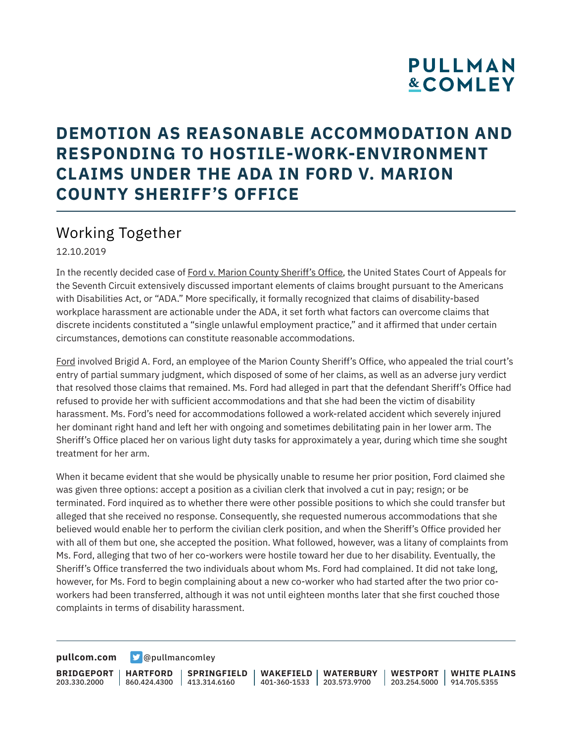## **PULLMAN &COMLEY**

### **DEMOTION AS REASONABLE ACCOMMODATION AND RESPONDING TO HOSTILE-WORK-ENVIRONMENT CLAIMS UNDER THE ADA IN FORD V. MARION COUNTY SHERIFF'S OFFICE**

### Working Together

12.10.2019

In the recently decided case of Ford v. Marion County Sheriff's Office, the United States Court of Appeals for the Seventh Circuit extensively discussed important elements of claims brought pursuant to the Americans with Disabilities Act, or "ADA." More specifically, it formally recognized that claims of disability-based workplace harassment are actionable under the ADA, it set forth what factors can overcome claims that discrete incidents constituted a "single unlawful employment practice," and it affirmed that under certain circumstances, demotions can constitute reasonable accommodations.

Ford involved Brigid A. Ford, an employee of the Marion County Sheriff's Office, who appealed the trial court's entry of partial summary judgment, which disposed of some of her claims, as well as an adverse jury verdict that resolved those claims that remained. Ms. Ford had alleged in part that the defendant Sheriff's Office had refused to provide her with sufficient accommodations and that she had been the victim of disability harassment. Ms. Ford's need for accommodations followed a work-related accident which severely injured her dominant right hand and left her with ongoing and sometimes debilitating pain in her lower arm. The Sheriff's Office placed her on various light duty tasks for approximately a year, during which time she sought treatment for her arm.

When it became evident that she would be physically unable to resume her prior position, Ford claimed she was given three options: accept a position as a civilian clerk that involved a cut in pay; resign; or be terminated. Ford inquired as to whether there were other possible positions to which she could transfer but alleged that she received no response. Consequently, she requested numerous accommodations that she believed would enable her to perform the civilian clerk position, and when the Sheriff's Office provided her with all of them but one, she accepted the position. What followed, however, was a litany of complaints from Ms. Ford, alleging that two of her co-workers were hostile toward her due to her disability. Eventually, the Sheriff's Office transferred the two individuals about whom Ms. Ford had complained. It did not take long, however, for Ms. Ford to begin complaining about a new co-worker who had started after the two prior coworkers had been transferred, although it was not until eighteen months later that she first couched those complaints in terms of disability harassment.

**[pullcom.com](https://www.pullcom.com) g** [@pullmancomley](https://twitter.com/PullmanComley)

**BRIDGEPORT** 203.330.2000

**HARTFORD** 860.424.4300 413.314.6160 **SPRINGFIELD**

**WAKEFIELD WATERBURY** 401-360-1533 203.573.9700

**WESTPORT WHITE PLAINS** 203.254.5000 914.705.5355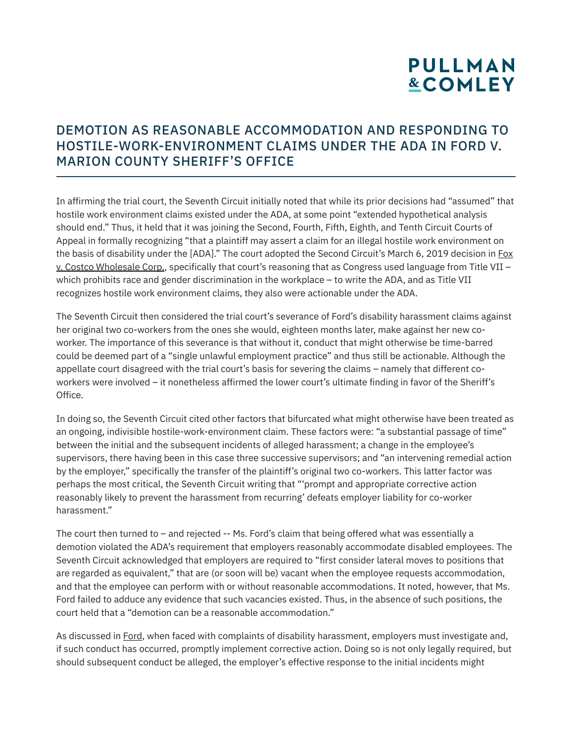# **PULLMAN &COMLEY**

### DEMOTION AS REASONABLE ACCOMMODATION AND RESPONDING TO HOSTILE-WORK-ENVIRONMENT CLAIMS UNDER THE ADA IN FORD V. MARION COUNTY SHERIFF'S OFFICE

In affirming the trial court, the Seventh Circuit initially noted that while its prior decisions had "assumed" that hostile work environment claims existed under the ADA, at some point "extended hypothetical analysis should end." Thus, it held that it was joining the Second, Fourth, Fifth, Eighth, and Tenth Circuit Courts of Appeal in formally recognizing "that a plaintiff may assert a claim for an illegal hostile work environment on the basis of disability under the [ADA]." The court adopted the Second Circuit's March 6, 2019 decision in Fox v. Costco Wholesale Corp., specifically that court's reasoning that as Congress used language from Title VII – which prohibits race and gender discrimination in the workplace – to write the ADA, and as Title VII recognizes hostile work environment claims, they also were actionable under the ADA.

The Seventh Circuit then considered the trial court's severance of Ford's disability harassment claims against her original two co-workers from the ones she would, eighteen months later, make against her new coworker. The importance of this severance is that without it, conduct that might otherwise be time-barred could be deemed part of a "single unlawful employment practice" and thus still be actionable. Although the appellate court disagreed with the trial court's basis for severing the claims – namely that different coworkers were involved – it nonetheless affirmed the lower court's ultimate finding in favor of the Sheriff's Office.

In doing so, the Seventh Circuit cited other factors that bifurcated what might otherwise have been treated as an ongoing, indivisible hostile-work-environment claim. These factors were: "a substantial passage of time" between the initial and the subsequent incidents of alleged harassment; a change in the employee's supervisors, there having been in this case three successive supervisors; and "an intervening remedial action by the employer," specifically the transfer of the plaintiff's original two co-workers. This latter factor was perhaps the most critical, the Seventh Circuit writing that "'prompt and appropriate corrective action reasonably likely to prevent the harassment from recurring' defeats employer liability for co-worker harassment."

The court then turned to – and rejected -- Ms. Ford's claim that being offered what was essentially a demotion violated the ADA's requirement that employers reasonably accommodate disabled employees. The Seventh Circuit acknowledged that employers are required to "first consider lateral moves to positions that are regarded as equivalent," that are (or soon will be) vacant when the employee requests accommodation, and that the employee can perform with or without reasonable accommodations. It noted, however, that Ms. Ford failed to adduce any evidence that such vacancies existed. Thus, in the absence of such positions, the court held that a "demotion can be a reasonable accommodation."

As discussed in Ford, when faced with complaints of disability harassment, employers must investigate and, if such conduct has occurred, promptly implement corrective action. Doing so is not only legally required, but should subsequent conduct be alleged, the employer's effective response to the initial incidents might